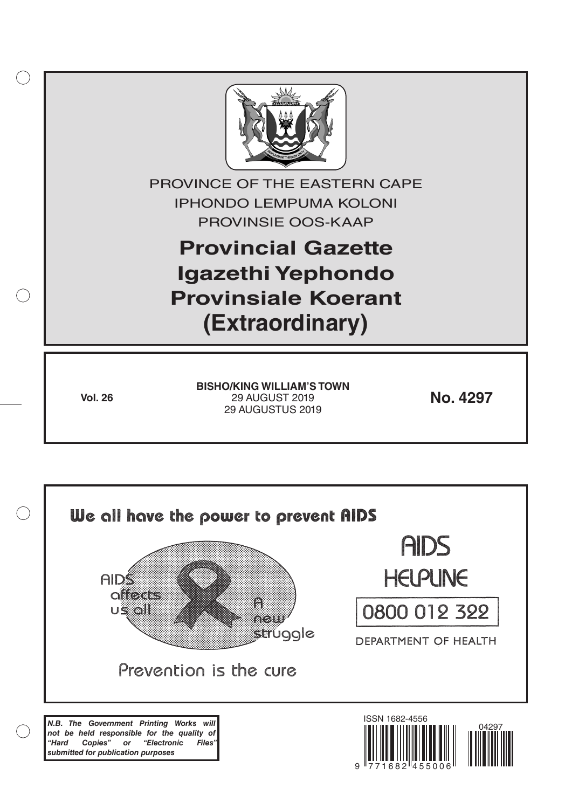

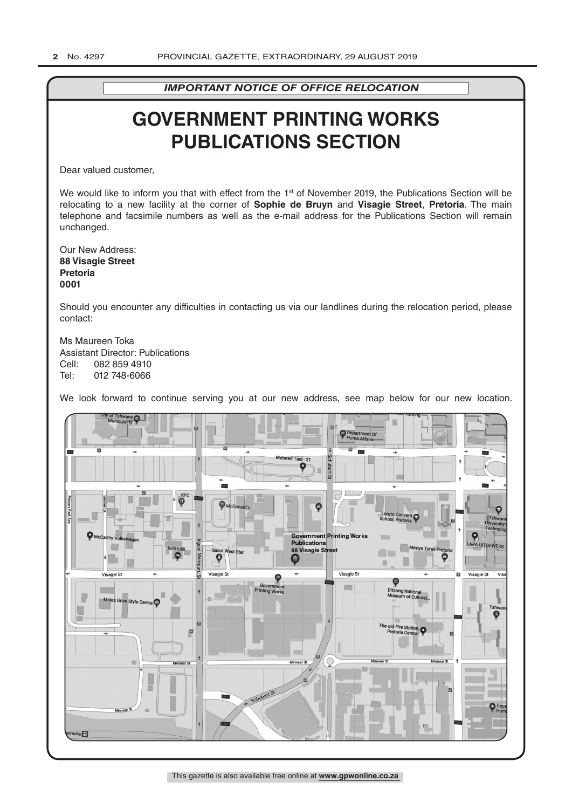*IMPORTANT NOTICE OF OFFICE RELOCATION*

# **GOVERNMENT PRINTING WORKS PUBLICATIONS SECTION**

Dear valued customer,

We would like to inform you that with effect from the 1<sup>st</sup> of November 2019, the Publications Section will be relocating to a new facility at the corner of **Sophie de Bruyn** and **Visagie Street**, **Pretoria**. The main telephone and facsimile numbers as well as the e-mail address for the Publications Section will remain unchanged.

Our New Address: **88 Visagie Street Pretoria 0001**

Should you encounter any difficulties in contacting us via our landlines during the relocation period, please contact:

Ms Maureen Toka Assistant Director: Publications Cell: 082 859 4910 Tel: 012 748-6066

We look forward to continue serving you at our new address, see map below for our new location.



This gazette is also available free online at **www.gpwonline.co.za**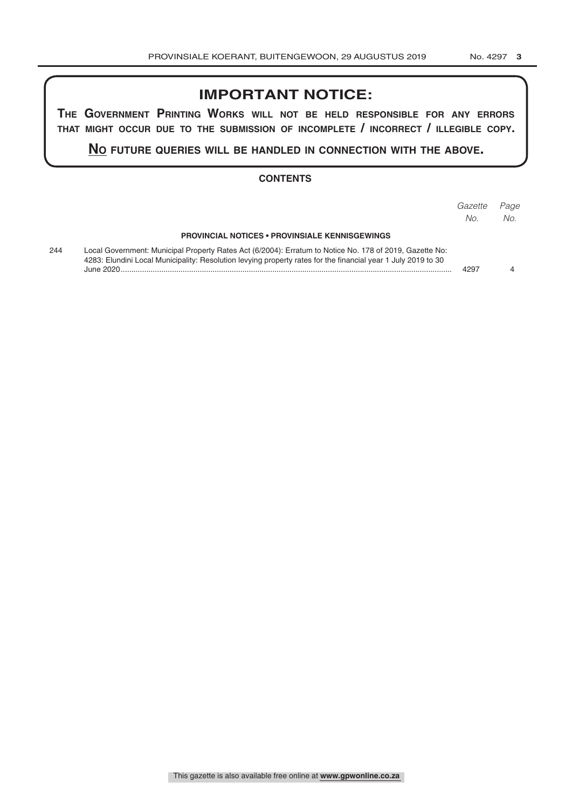# **IMPORTANT NOTICE:**

**The GovernmenT PrinTinG Works Will noT be held resPonsible for any errors ThaT miGhT occur due To The submission of incomPleTe / incorrecT / illeGible coPy.**

**no fuTure queries Will be handled in connecTion WiTh The above.**

## **CONTENTS**

|     |                                                                                                                                                                                                                          | Gazette | Page |
|-----|--------------------------------------------------------------------------------------------------------------------------------------------------------------------------------------------------------------------------|---------|------|
|     |                                                                                                                                                                                                                          | No.     | No.  |
|     | <b>PROVINCIAL NOTICES • PROVINSIALE KENNISGEWINGS</b>                                                                                                                                                                    |         |      |
| 244 | Local Government: Municipal Property Rates Act (6/2004): Erratum to Notice No. 178 of 2019, Gazette No:<br>4283: Elundini Local Municipality: Resolution levying property rates for the financial year 1 July 2019 to 30 |         |      |
|     | . lune 2020                                                                                                                                                                                                              | 4297    |      |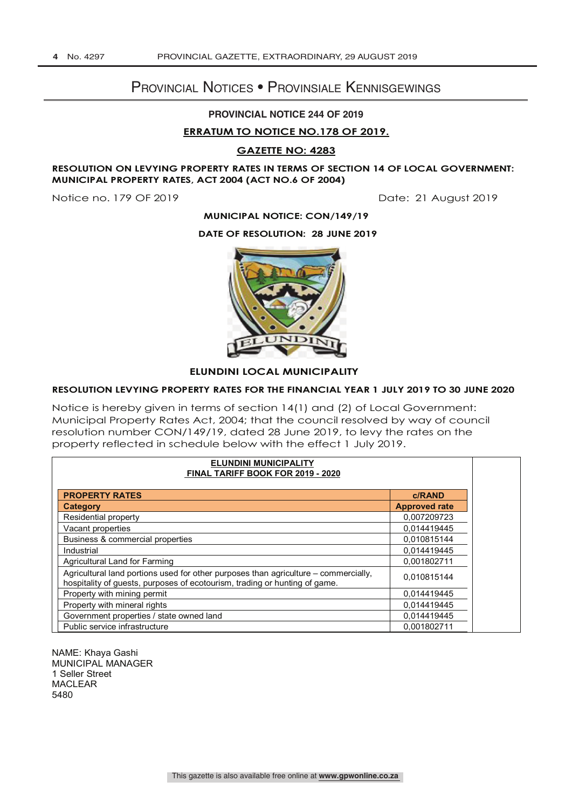## Provincial Notices • Provinsiale Kennisgewings

#### **PROVINCIAL NOTICE 244 OF 2019**

## **ERRATUM TO NOTICE NO.178 OF 2019.**

#### **GAZETTE NO: 4283**

**RESOLUTION ON LEVYING PROPERTY RATES IN TERMS OF SECTION 14 OF LOCAL GOVERNMENT: MUNICIPAL PROPERTY RATES, ACT 2004 (ACT NO.6 OF 2004)**

Notice no. 179 OF 2019 **Date: 21 August 2019** 

**MUNICIPAL NOTICE: CON/149/19**

#### **DATE OF RESOLUTION: 28 JUNE 2019**



 **ELUNDINI LOCAL MUNICIPALITY**

#### **RESOLUTION LEVYING PROPERTY RATES FOR THE FINANCIAL YEAR 1 JULY 2019 TO 30 JUNE 2020**

Notice is hereby given in terms of section 14(1) and (2) of Local Government: Municipal Property Rates Act, 2004; that the council resolved by way of council resolution number CON/149/19, dated 28 June 2019, to levy the rates on the property reflected in schedule below with the effect 1 July 2019.

| <b>ELUNDINI MUNICIPALITY</b><br>FINAL TARIFF BOOK FOR 2019 - 2020                                                                                                 |                      |  |  |
|-------------------------------------------------------------------------------------------------------------------------------------------------------------------|----------------------|--|--|
| <b>PROPERTY RATES</b>                                                                                                                                             | c/RAND               |  |  |
| Category                                                                                                                                                          | <b>Approved rate</b> |  |  |
| Residential property                                                                                                                                              | 0.007209723          |  |  |
| Vacant properties                                                                                                                                                 | 0.014419445          |  |  |
| Business & commercial properties                                                                                                                                  | 0.010815144          |  |  |
| Industrial                                                                                                                                                        | 0.014419445          |  |  |
| <b>Agricultural Land for Farming</b>                                                                                                                              | 0.001802711          |  |  |
| Agricultural land portions used for other purposes than agriculture - commercially,<br>hospitality of guests, purposes of ecotourism, trading or hunting of game. | 0.010815144          |  |  |
| Property with mining permit                                                                                                                                       | 0.014419445          |  |  |
| Property with mineral rights                                                                                                                                      | 0.014419445          |  |  |
| Government properties / state owned land                                                                                                                          | 0.014419445          |  |  |
| Public service infrastructure                                                                                                                                     | 0.001802711          |  |  |

NAME: Khaya Gashi MUNICIPAL MANAGER 1 Seller Street MACLEAR 5480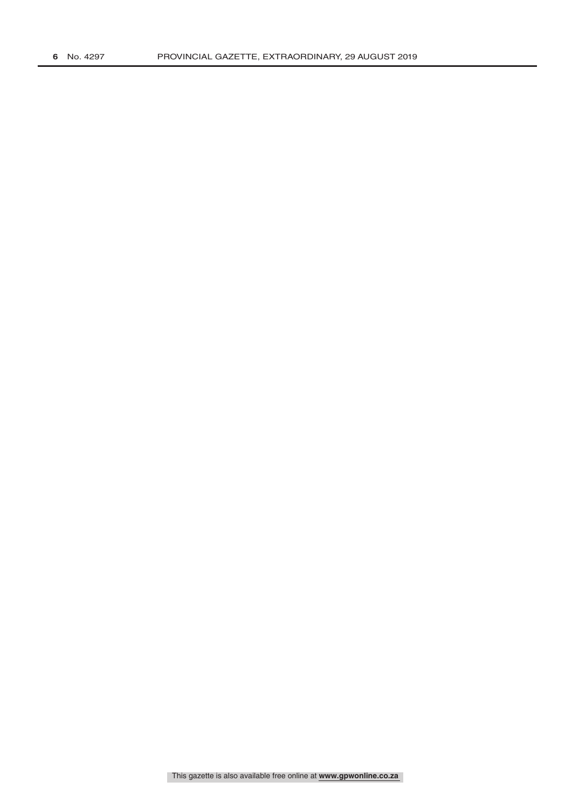This gazette is also available free online at **www.gpwonline.co.za**